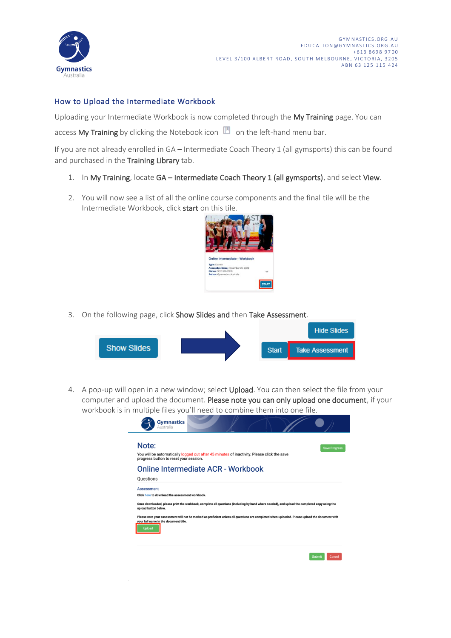

## How to Upload the Intermediate Workbook

Uploading your Intermediate Workbook is now completed through the My Training page. You can

access My Training by clicking the Notebook icon  $\Box$  on the left-hand menu bar.

If you are not already enrolled in GA – Intermediate Coach Theory 1 (all gymsports) this can be found and purchased in the Training Library tab.

- 1. In My Training, locate GA Intermediate Coach Theory 1 (all gymsports), and select View.
- 2. You will now see a list of all the online course components and the final tile will be the Intermediate Workbook, click start on this tile.



3. On the following page, click Show Slides and then Take Assessment.



4. A pop-up will open in a new window; select Upload. You can then select the file from your computer and upload the document. Please note you can only upload one document, if your workbook is in multiple files you'll need to combine them into one file.